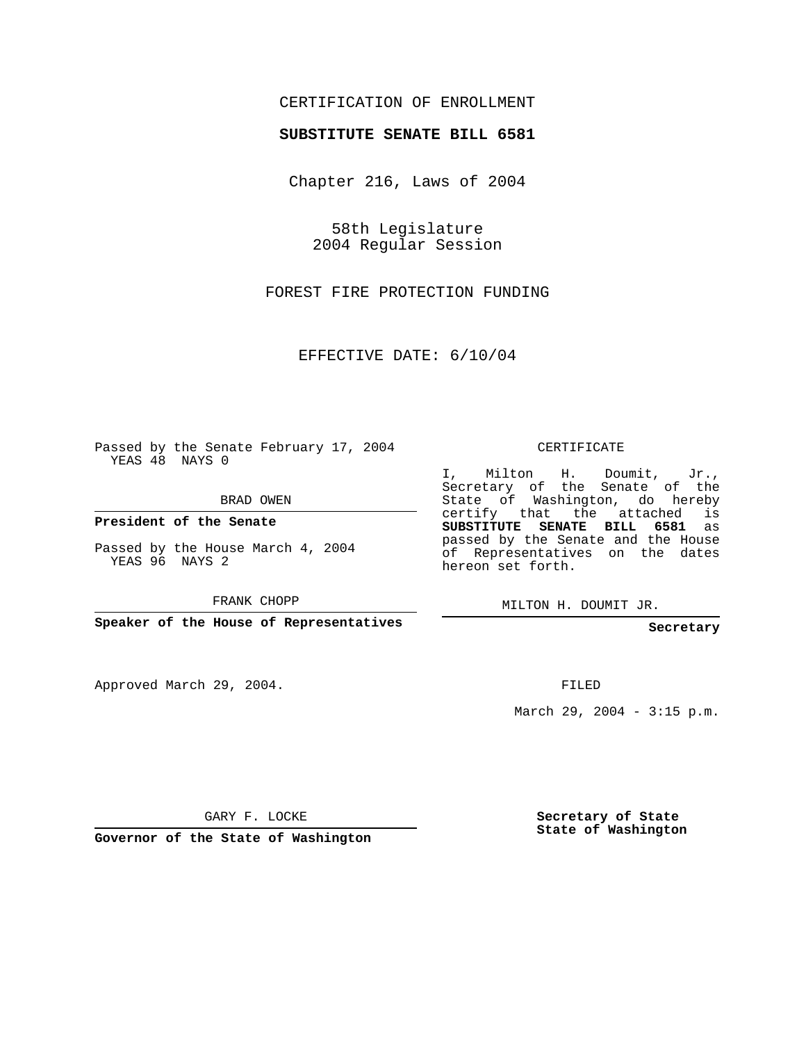## CERTIFICATION OF ENROLLMENT

## **SUBSTITUTE SENATE BILL 6581**

Chapter 216, Laws of 2004

58th Legislature 2004 Regular Session

FOREST FIRE PROTECTION FUNDING

EFFECTIVE DATE: 6/10/04

Passed by the Senate February 17, 2004 YEAS 48 NAYS 0

BRAD OWEN

**President of the Senate**

Passed by the House March 4, 2004 YEAS 96 NAYS 2

FRANK CHOPP

**Speaker of the House of Representatives**

Approved March 29, 2004.

CERTIFICATE

I, Milton H. Doumit, Jr., Secretary of the Senate of the State of Washington, do hereby certify that the attached is **SUBSTITUTE SENATE BILL 6581** as passed by the Senate and the House of Representatives on the dates hereon set forth.

MILTON H. DOUMIT JR.

**Secretary**

FILED

March 29, 2004 - 3:15 p.m.

GARY F. LOCKE

**Governor of the State of Washington**

**Secretary of State State of Washington**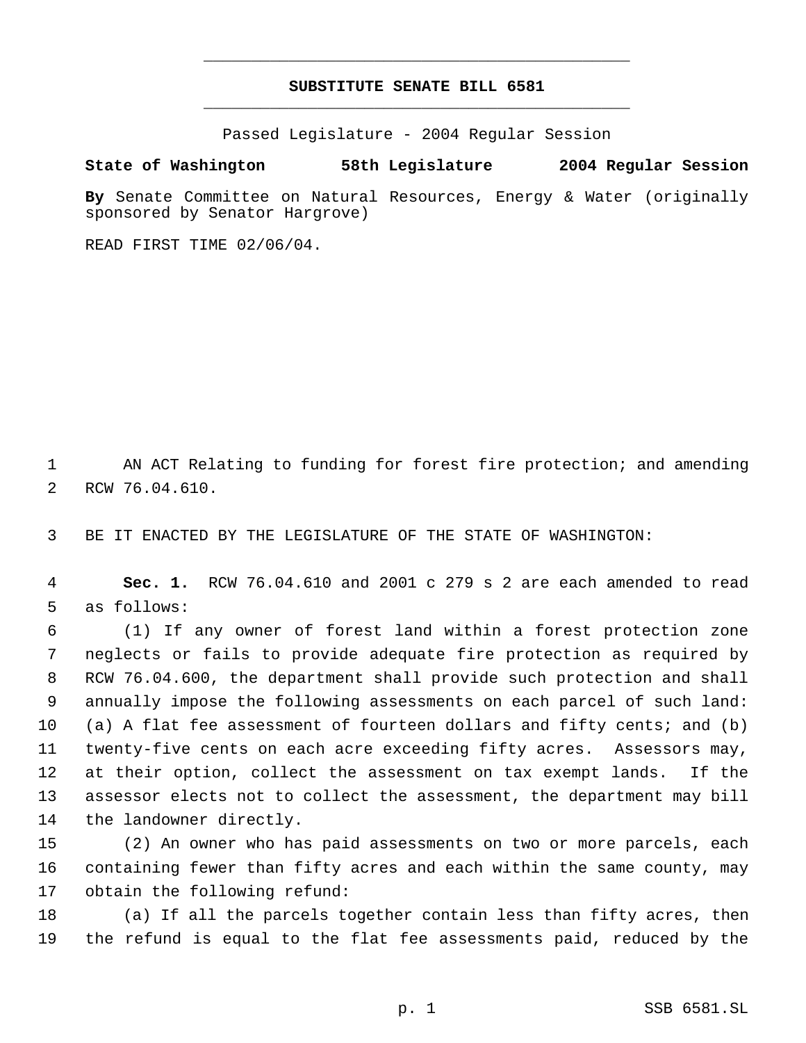## **SUBSTITUTE SENATE BILL 6581** \_\_\_\_\_\_\_\_\_\_\_\_\_\_\_\_\_\_\_\_\_\_\_\_\_\_\_\_\_\_\_\_\_\_\_\_\_\_\_\_\_\_\_\_\_

\_\_\_\_\_\_\_\_\_\_\_\_\_\_\_\_\_\_\_\_\_\_\_\_\_\_\_\_\_\_\_\_\_\_\_\_\_\_\_\_\_\_\_\_\_

Passed Legislature - 2004 Regular Session

**State of Washington 58th Legislature 2004 Regular Session**

**By** Senate Committee on Natural Resources, Energy & Water (originally sponsored by Senator Hargrove)

READ FIRST TIME 02/06/04.

1 AN ACT Relating to funding for forest fire protection; and amending RCW 76.04.610.

BE IT ENACTED BY THE LEGISLATURE OF THE STATE OF WASHINGTON:

 **Sec. 1.** RCW 76.04.610 and 2001 c 279 s 2 are each amended to read as follows:

 (1) If any owner of forest land within a forest protection zone neglects or fails to provide adequate fire protection as required by RCW 76.04.600, the department shall provide such protection and shall annually impose the following assessments on each parcel of such land: (a) A flat fee assessment of fourteen dollars and fifty cents; and (b) twenty-five cents on each acre exceeding fifty acres. Assessors may, at their option, collect the assessment on tax exempt lands. If the assessor elects not to collect the assessment, the department may bill the landowner directly.

 (2) An owner who has paid assessments on two or more parcels, each containing fewer than fifty acres and each within the same county, may obtain the following refund:

 (a) If all the parcels together contain less than fifty acres, then the refund is equal to the flat fee assessments paid, reduced by the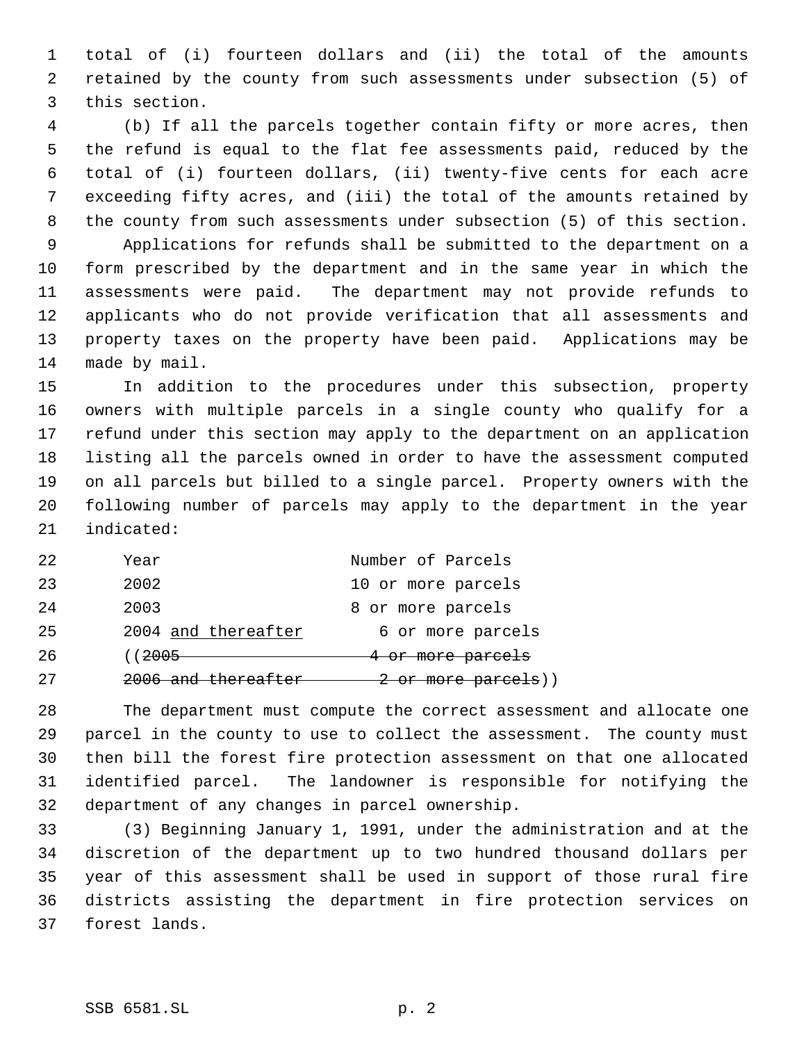total of (i) fourteen dollars and (ii) the total of the amounts retained by the county from such assessments under subsection (5) of this section.

 (b) If all the parcels together contain fifty or more acres, then the refund is equal to the flat fee assessments paid, reduced by the total of (i) fourteen dollars, (ii) twenty-five cents for each acre exceeding fifty acres, and (iii) the total of the amounts retained by the county from such assessments under subsection (5) of this section. Applications for refunds shall be submitted to the department on a form prescribed by the department and in the same year in which the assessments were paid. The department may not provide refunds to applicants who do not provide verification that all assessments and property taxes on the property have been paid. Applications may be made by mail.

 In addition to the procedures under this subsection, property owners with multiple parcels in a single county who qualify for a refund under this section may apply to the department on an application listing all the parcels owned in order to have the assessment computed on all parcels but billed to a single parcel. Property owners with the following number of parcels may apply to the department in the year indicated:

| 22 | Year                           | Number of Parcels               |
|----|--------------------------------|---------------------------------|
| 23 | 2002                           | 10 or more parcels              |
| 24 | 2003                           | 8 or more parcels               |
| 25 | 2004 and thereafter            | 6 or more parcels               |
| 26 | (( <del>2005</del>             | 4 or more parcels               |
| 27 | <del>2006 and thereafter</del> | <del>2 or more parcels</del> )) |

 The department must compute the correct assessment and allocate one parcel in the county to use to collect the assessment. The county must then bill the forest fire protection assessment on that one allocated identified parcel. The landowner is responsible for notifying the department of any changes in parcel ownership.

 (3) Beginning January 1, 1991, under the administration and at the discretion of the department up to two hundred thousand dollars per year of this assessment shall be used in support of those rural fire districts assisting the department in fire protection services on forest lands.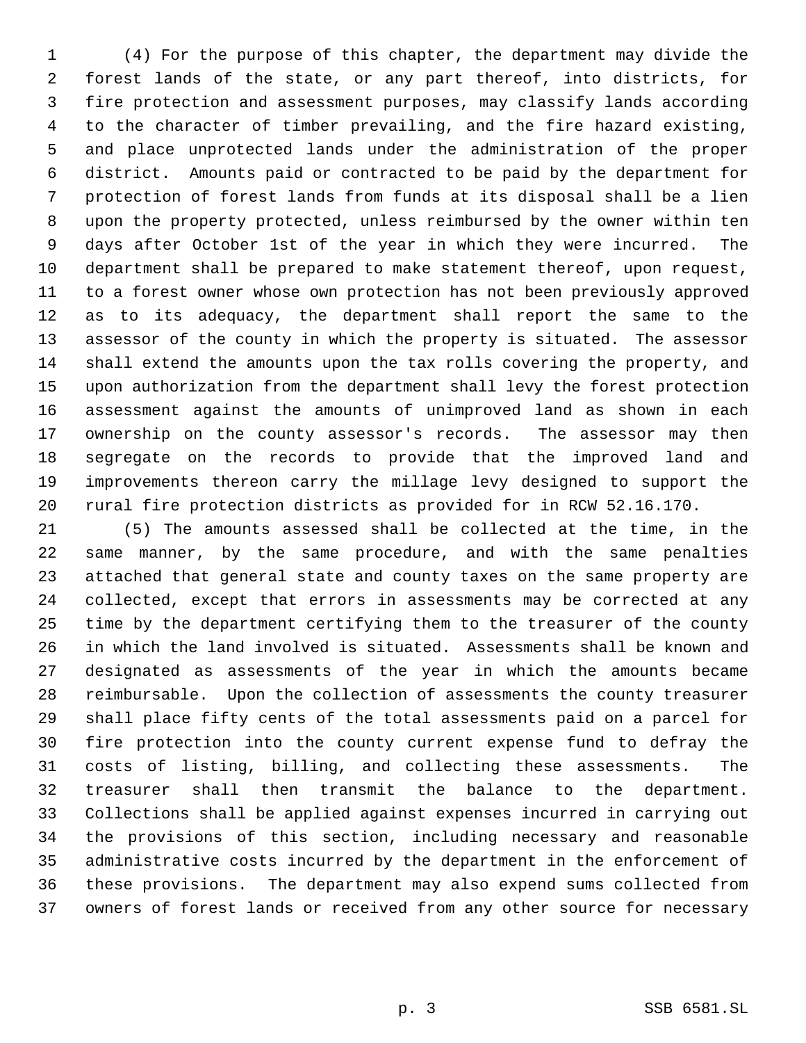(4) For the purpose of this chapter, the department may divide the forest lands of the state, or any part thereof, into districts, for fire protection and assessment purposes, may classify lands according to the character of timber prevailing, and the fire hazard existing, and place unprotected lands under the administration of the proper district. Amounts paid or contracted to be paid by the department for protection of forest lands from funds at its disposal shall be a lien upon the property protected, unless reimbursed by the owner within ten days after October 1st of the year in which they were incurred. The department shall be prepared to make statement thereof, upon request, to a forest owner whose own protection has not been previously approved as to its adequacy, the department shall report the same to the assessor of the county in which the property is situated. The assessor shall extend the amounts upon the tax rolls covering the property, and upon authorization from the department shall levy the forest protection assessment against the amounts of unimproved land as shown in each ownership on the county assessor's records. The assessor may then segregate on the records to provide that the improved land and improvements thereon carry the millage levy designed to support the rural fire protection districts as provided for in RCW 52.16.170.

 (5) The amounts assessed shall be collected at the time, in the same manner, by the same procedure, and with the same penalties attached that general state and county taxes on the same property are collected, except that errors in assessments may be corrected at any time by the department certifying them to the treasurer of the county in which the land involved is situated. Assessments shall be known and designated as assessments of the year in which the amounts became reimbursable. Upon the collection of assessments the county treasurer shall place fifty cents of the total assessments paid on a parcel for fire protection into the county current expense fund to defray the costs of listing, billing, and collecting these assessments. The treasurer shall then transmit the balance to the department. Collections shall be applied against expenses incurred in carrying out the provisions of this section, including necessary and reasonable administrative costs incurred by the department in the enforcement of these provisions. The department may also expend sums collected from owners of forest lands or received from any other source for necessary